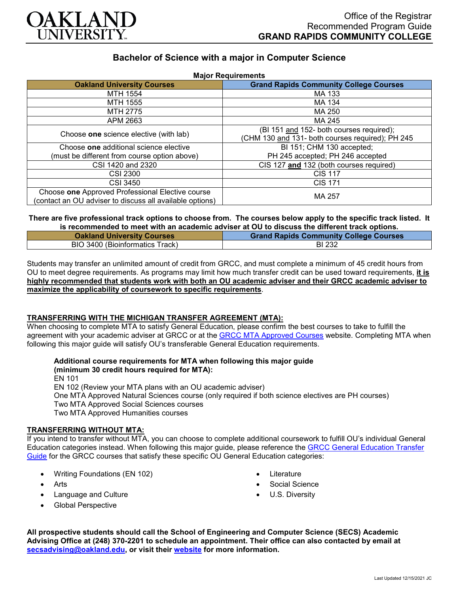

# **Bachelor of Science with a major in Computer Science**

| <b>Major Requirements</b>                                |                                                  |
|----------------------------------------------------------|--------------------------------------------------|
| <b>Oakland University Courses</b>                        | <b>Grand Rapids Community College Courses</b>    |
| MTH 1554                                                 | MA 133                                           |
| <b>MTH 1555</b>                                          | MA 134                                           |
| MTH 2775                                                 | MA 250                                           |
| APM 2663                                                 | MA 245                                           |
| Choose one science elective (with lab)                   | (BI 151 and 152- both courses required);         |
|                                                          | (CHM 130 and 131- both courses required); PH 245 |
| Choose one additional science elective                   | BI 151; CHM 130 accepted;                        |
| (must be different from course option above)             | PH 245 accepted; PH 246 accepted                 |
| CSI 1420 and 2320                                        | CIS 127 and 132 (both courses required)          |
| <b>CSI 2300</b>                                          | <b>CIS 117</b>                                   |
| CSI 3450                                                 | <b>CIS 171</b>                                   |
| Choose one Approved Professional Elective course         | MA 257                                           |
| (contact an OU adviser to discuss all available options) |                                                  |

## **There are five professional track options to choose from. The courses below apply to the specific track listed. It is recommended to meet with an academic adviser at OU to discuss the different track options.**

| <b>Oakland University Courses</b> | <b>Grand Rapids Community College Courses</b> |
|-----------------------------------|-----------------------------------------------|
| BIO 3400 (Bioinformatics Track)   | BI 232                                        |

Students may transfer an unlimited amount of credit from GRCC, and must complete a minimum of 45 credit hours from OU to meet degree requirements. As programs may limit how much transfer credit can be used toward requirements, **it is highly recommended that students work with both an OU academic adviser and their GRCC academic adviser to maximize the applicability of coursework to specific requirements**.

#### **TRANSFERRING WITH THE MICHIGAN TRANSFER AGREEMENT (MTA):**

When choosing to complete MTA to satisfy General Education, please confirm the best courses to take to fulfill the agreement with your academic adviser at GRCC or at the [GRCC MTA Approved Courses](https://catalog.grcc.edu/content.php?catoid=47&navoid=3607) website. Completing MTA when following this major guide will satisfy OU's transferable General Education requirements.

#### **Additional course requirements for MTA when following this major guide (minimum 30 credit hours required for MTA):**

EN 101

EN 102 (Review your MTA plans with an OU academic adviser)

One MTA Approved Natural Sciences course (only required if both science electives are PH courses)

Two MTA Approved Social Sciences courses

Two MTA Approved Humanities courses

## **TRANSFERRING WITHOUT MTA:**

If you intend to transfer without MTA, you can choose to complete additional coursework to fulfill OU's individual General Education categories instead. When following this major guide, please reference the [GRCC General Education Transfer](https://www.oakland.edu/Assets/Oakland/program-guides/grand-rapids-community-college/university-general-education-requirements/Grand%20Rapids%20Gen%20Ed.pdf)  [Guide](https://www.oakland.edu/Assets/Oakland/program-guides/grand-rapids-community-college/university-general-education-requirements/Grand%20Rapids%20Gen%20Ed.pdf) for the GRCC courses that satisfy these specific OU General Education categories:

- Writing Foundations (EN 102)
- Arts
- Language and Culture
- Global Perspective
- **Literature**
- Social Science
- U.S. Diversity

**All prospective students should call the School of Engineering and Computer Science (SECS) Academic Advising Office at (248) 370-2201 to schedule an appointment. Their office can also contacted by email at [secsadvising@oakland.edu,](mailto:secsadvising@oakland.edu) or visit their [website](https://wwwp.oakland.edu/secs/advising/) for more information.**